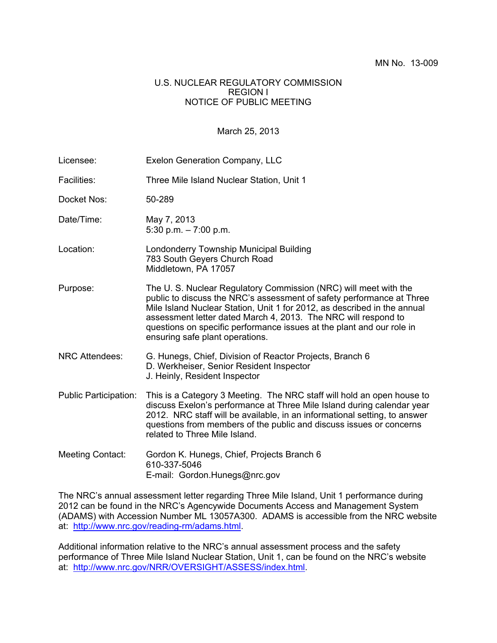## U.S. NUCLEAR REGULATORY COMMISSION REGION I NOTICE OF PUBLIC MEETING

## March 25, 2013

| Licensee:                    | <b>Exelon Generation Company, LLC</b>                                                                                                                                                                                                                                                                                                                                                               |
|------------------------------|-----------------------------------------------------------------------------------------------------------------------------------------------------------------------------------------------------------------------------------------------------------------------------------------------------------------------------------------------------------------------------------------------------|
| Facilities:                  | Three Mile Island Nuclear Station, Unit 1                                                                                                                                                                                                                                                                                                                                                           |
| Docket Nos:                  | 50-289                                                                                                                                                                                                                                                                                                                                                                                              |
| Date/Time:                   | May 7, 2013<br>5:30 p.m. $-7:00$ p.m.                                                                                                                                                                                                                                                                                                                                                               |
| Location:                    | Londonderry Township Municipal Building<br>783 South Geyers Church Road<br>Middletown, PA 17057                                                                                                                                                                                                                                                                                                     |
| Purpose:                     | The U. S. Nuclear Regulatory Commission (NRC) will meet with the<br>public to discuss the NRC's assessment of safety performance at Three<br>Mile Island Nuclear Station, Unit 1 for 2012, as described in the annual<br>assessment letter dated March 4, 2013. The NRC will respond to<br>questions on specific performance issues at the plant and our role in<br>ensuring safe plant operations. |
| <b>NRC Attendees:</b>        | G. Hunegs, Chief, Division of Reactor Projects, Branch 6<br>D. Werkheiser, Senior Resident Inspector<br>J. Heinly, Resident Inspector                                                                                                                                                                                                                                                               |
| <b>Public Participation:</b> | This is a Category 3 Meeting. The NRC staff will hold an open house to<br>discuss Exelon's performance at Three Mile Island during calendar year<br>2012. NRC staff will be available, in an informational setting, to answer<br>questions from members of the public and discuss issues or concerns<br>related to Three Mile Island.                                                               |
| Meeting Contact:             | Gordon K. Hunegs, Chief, Projects Branch 6<br>610-337-5046<br>E-mail: Gordon.Hunegs@nrc.gov                                                                                                                                                                                                                                                                                                         |

The NRC's annual assessment letter regarding Three Mile Island, Unit 1 performance during 2012 can be found in the NRC's Agencywide Documents Access and Management System (ADAMS) with Accession Number ML 13057A300. ADAMS is accessible from the NRC website at: http://www.nrc.gov/reading-rm/adams.html.

Additional information relative to the NRC's annual assessment process and the safety performance of Three Mile Island Nuclear Station, Unit 1, can be found on the NRC's website at: http://www.nrc.gov/NRR/OVERSIGHT/ASSESS/index.html.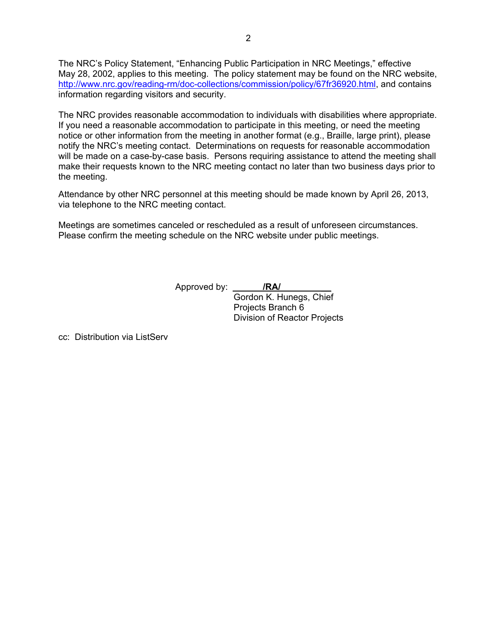The NRC's Policy Statement, "Enhancing Public Participation in NRC Meetings," effective May 28, 2002, applies to this meeting. The policy statement may be found on the NRC website, http://www.nrc.gov/reading-rm/doc-collections/commission/policy/67fr36920.html, and contains information regarding visitors and security.

The NRC provides reasonable accommodation to individuals with disabilities where appropriate. If you need a reasonable accommodation to participate in this meeting, or need the meeting notice or other information from the meeting in another format (e.g., Braille, large print), please notify the NRC's meeting contact. Determinations on requests for reasonable accommodation will be made on a case-by-case basis. Persons requiring assistance to attend the meeting shall make their requests known to the NRC meeting contact no later than two business days prior to the meeting.

Attendance by other NRC personnel at this meeting should be made known by April 26, 2013, via telephone to the NRC meeting contact.

Meetings are sometimes canceled or rescheduled as a result of unforeseen circumstances. Please confirm the meeting schedule on the NRC website under public meetings.

Approved by: **/RA/** \_\_

 Gordon K. Hunegs, Chief Projects Branch 6 Division of Reactor Projects

cc: Distribution via ListServ